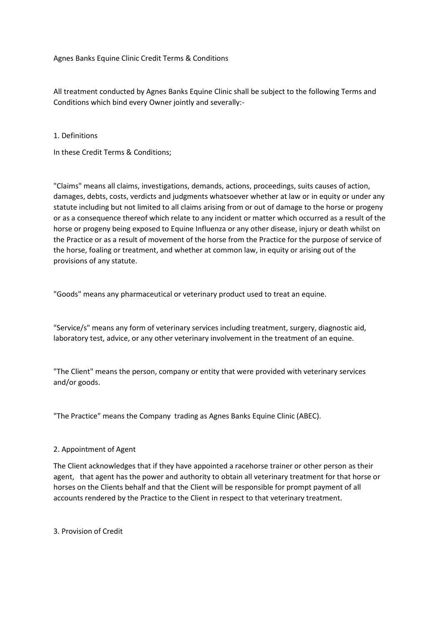Agnes Banks Equine Clinic Credit Terms & Conditions

All treatment conducted by Agnes Banks Equine Clinic shall be subject to the following Terms and Conditions which bind every Owner jointly and severally:-

1. Definitions

In these Credit Terms & Conditions;

"Claims" means all claims, investigations, demands, actions, proceedings, suits causes of action, damages, debts, costs, verdicts and judgments whatsoever whether at law or in equity or under any statute including but not limited to all claims arising from or out of damage to the horse or progeny or as a consequence thereof which relate to any incident or matter which occurred as a result of the horse or progeny being exposed to Equine Influenza or any other disease, injury or death whilst on the Practice or as a result of movement of the horse from the Practice for the purpose of service of the horse, foaling or treatment, and whether at common law, in equity or arising out of the provisions of any statute.

"Goods" means any pharmaceutical or veterinary product used to treat an equine.

"Service/s" means any form of veterinary services including treatment, surgery, diagnostic aid, laboratory test, advice, or any other veterinary involvement in the treatment of an equine.

"The Client" means the person, company or entity that were provided with veterinary services and/or goods.

"The Practice" means the Company trading as Agnes Banks Equine Clinic (ABEC).

# 2. Appointment of Agent

The Client acknowledges that if they have appointed a racehorse trainer or other person as their agent, that agent has the power and authority to obtain all veterinary treatment for that horse or horses on the Clients behalf and that the Client will be responsible for prompt payment of all accounts rendered by the Practice to the Client in respect to that veterinary treatment.

3. Provision of Credit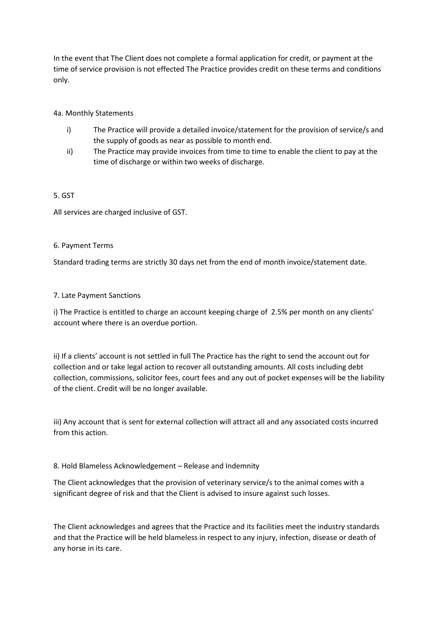In the event that The Client does not complete a formal application for credit, or payment at the time of service provision is not effected The Practice provides credit on these terms and conditions only.

### 4a. Monthly Statements

- i) The Practice will provide a detailed invoice/statement for the provision of service/s and the supply of goods as near as possible to month end.
- ii) The Practice may provide invoices from time to time to enable the client to pay at the time of discharge or within two weeks of discharge.

#### 5. GST

All services are charged inclusive of GST.

#### 6. Payment Terms

Standard trading terms are strictly 30 days net from the end of month invoice/statement date.

### 7. Late Payment Sanctions

i) The Practice is entitled to charge an account keeping charge of 2.5% per month on any clients' account where there is an overdue portion.

ii) If a clients' account is not settled in full The Practice has the right to send the account out for collection and or take legal action to recover all outstanding amounts. All costs including debt collection, commissions, solicitor fees, court fees and any out of pocket expenses will be the liability of the client. Credit will be no longer available.

iii) Any account that is sent for external collection will attract all and any associated costs incurred from this action.

#### 8. Hold Blameless Acknowledgement – Release and Indemnity

The Client acknowledges that the provision of veterinary service/s to the animal comes with a significant degree of risk and that the Client is advised to insure against such losses.

The Client acknowledges and agrees that the Practice and its facilities meet the industry standards and that the Practice will be held blameless in respect to any injury, infection, disease or death of any horse in its care.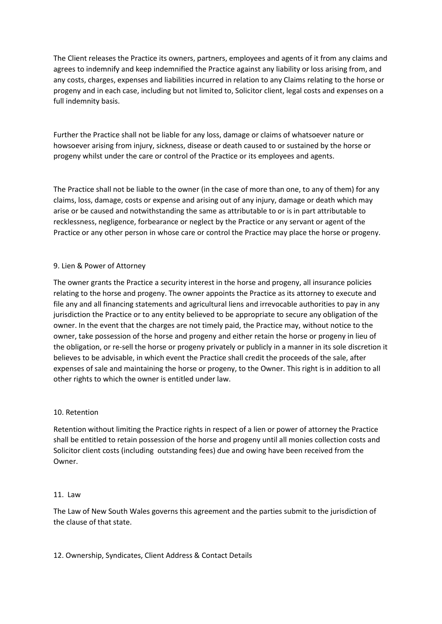The Client releases the Practice its owners, partners, employees and agents of it from any claims and agrees to indemnify and keep indemnified the Practice against any liability or loss arising from, and any costs, charges, expenses and liabilities incurred in relation to any Claims relating to the horse or progeny and in each case, including but not limited to, Solicitor client, legal costs and expenses on a full indemnity basis.

Further the Practice shall not be liable for any loss, damage or claims of whatsoever nature or howsoever arising from injury, sickness, disease or death caused to or sustained by the horse or progeny whilst under the care or control of the Practice or its employees and agents.

The Practice shall not be liable to the owner (in the case of more than one, to any of them) for any claims, loss, damage, costs or expense and arising out of any injury, damage or death which may arise or be caused and notwithstanding the same as attributable to or is in part attributable to recklessness, negligence, forbearance or neglect by the Practice or any servant or agent of the Practice or any other person in whose care or control the Practice may place the horse or progeny.

### 9. Lien & Power of Attorney

The owner grants the Practice a security interest in the horse and progeny, all insurance policies relating to the horse and progeny. The owner appoints the Practice as its attorney to execute and file any and all financing statements and agricultural liens and irrevocable authorities to pay in any jurisdiction the Practice or to any entity believed to be appropriate to secure any obligation of the owner. In the event that the charges are not timely paid, the Practice may, without notice to the owner, take possession of the horse and progeny and either retain the horse or progeny in lieu of the obligation, or re-sell the horse or progeny privately or publicly in a manner in its sole discretion it believes to be advisable, in which event the Practice shall credit the proceeds of the sale, after expenses of sale and maintaining the horse or progeny, to the Owner. This right is in addition to all other rights to which the owner is entitled under law.

#### 10. Retention

Retention without limiting the Practice rights in respect of a lien or power of attorney the Practice shall be entitled to retain possession of the horse and progeny until all monies collection costs and Solicitor client costs (including outstanding fees) due and owing have been received from the Owner.

#### 11. Law

The Law of New South Wales governs this agreement and the parties submit to the jurisdiction of the clause of that state.

12. Ownership, Syndicates, Client Address & Contact Details